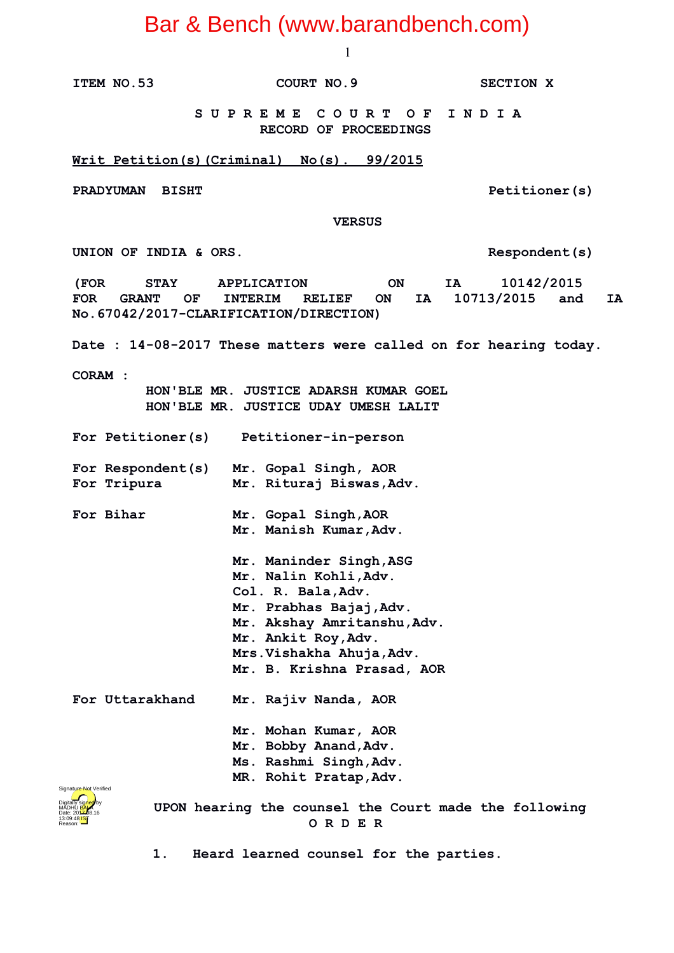1

**ITEM NO.53 COURT NO.9 SECTION X**

 **S U P R E M E C O U R T O F I N D I A RECORD OF PROCEEDINGS**

**Writ Petition(s)(Criminal) No(s). 99/2015**

**PRADYUMAN BISHT PRADYUMAN BISHT** 

 **VERSUS**

UNION OF INDIA & ORS. Respondent(s)

**(FOR STAY APPLICATION ON IA 10142/2015 FOR GRANT OF INTERIM RELIEF ON IA 10713/2015 and IA No.67042/2017-CLARIFICATION/DIRECTION)**

**Date : 14-08-2017 These matters were called on for hearing today.**

**CORAM :** 

 **HON'BLE MR. JUSTICE ADARSH KUMAR GOEL HON'BLE MR. JUSTICE UDAY UMESH LALIT**

**For Petitioner(s) Petitioner-in-person**

**For Respondent(s) Mr. Gopal Singh, AOR For Tripura Mr. Rituraj Biswas,Adv.**

**For Bihar Mr. Gopal Singh,AOR Mr. Manish Kumar,Adv.**

**Mr. Maninder Singh,ASG Mr. Nalin Kohli,Adv. Col. R. Bala,Adv. Mr. Prabhas Bajaj,Adv. Mr. Akshay Amritanshu,Adv.**

- **Mr. Ankit Roy,Adv. Mrs.Vishakha Ahuja,Adv.**
- **Mr. B. Krishna Prasad, AOR**

**For Uttarakhand Mr. Rajiv Nanda, AOR**

- **Mr. Mohan Kumar, AOR**
- **Mr. Bobby Anand,Adv.**
- **Ms. Rashmi Singh,Adv. MR. Rohit Pratap,Adv.**



 **UPON hearing the counsel the Court made the following O R D E R**

**1. Heard learned counsel for the parties.**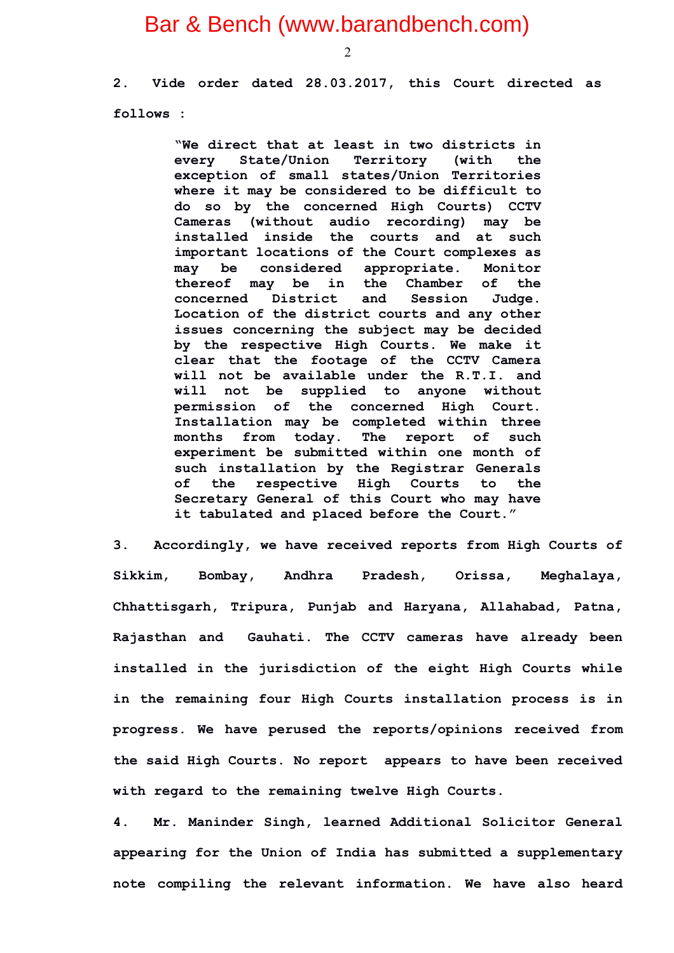2

**2. Vide order dated 28.03.2017, this Court directed as follows :**

> **"We direct that at least in two districts in every State/Union Territory (with the exception of small states/Union Territories where it may be considered to be difficult to do so by the concerned High Courts) CCTV Cameras (without audio recording) may be installed inside the courts and at such important locations of the Court complexes as may be considered appropriate. Monitor thereof may be in the Chamber of the concerned District and Session Judge. Location of the district courts and any other issues concerning the subject may be decided by the respective High Courts. We make it clear that the footage of the CCTV Camera will not be available under the R.T.I. and will not be supplied to anyone without permission of the concerned High Court. Installation may be completed within three months from today. The report of such experiment be submitted within one month of such installation by the Registrar Generals of the respective High Courts to the Secretary General of this Court who may have it tabulated and placed before the Court."**

**3. Accordingly, we have received reports from High Courts of Sikkim, Bombay, Andhra Pradesh, Orissa, Meghalaya, Chhattisgarh, Tripura, Punjab and Haryana, Allahabad, Patna, Rajasthan and Gauhati. The CCTV cameras have already been installed in the jurisdiction of the eight High Courts while in the remaining four High Courts installation process is in progress. We have perused the reports/opinions received from the said High Courts. No report appears to have been received with regard to the remaining twelve High Courts.**

**4. Mr. Maninder Singh, learned Additional Solicitor General appearing for the Union of India has submitted a supplementary note compiling the relevant information. We have also heard**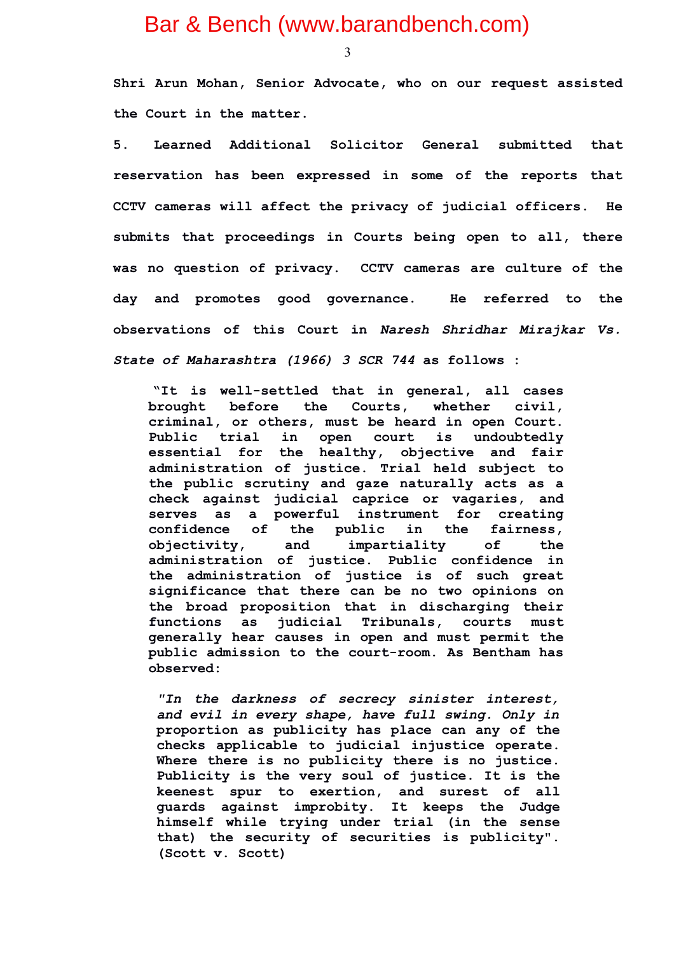3

**Shri Arun Mohan, Senior Advocate, who on our request assisted the Court in the matter.**

**5. Learned Additional Solicitor General submitted that reservation has been expressed in some of the reports that CCTV cameras will affect the privacy of judicial officers. He submits that proceedings in Courts being open to all, there was no question of privacy. CCTV cameras are culture of the day and promotes good governance. He referred to the observations of this Court in** *Naresh Shridhar Mirajkar Vs. State of Maharashtra (1966) 3 SCR 744* **as follows :** 

**"It is well-settled that in general, all cases brought before the Courts, whether civil, criminal, or others, must be heard in open Court. Public trial in open court is undoubtedly essential for the healthy, objective and fair administration of justice. Trial held subject to the public scrutiny and gaze naturally acts as a check against judicial caprice or vagaries, and serves as a powerful instrument for creating confidence of the public in the fairness, objectivity, and impartiality of the administration of justice. Public confidence in the administration of justice is of such great significance that there can be no two opinions on the broad proposition that in discharging their functions as judicial Tribunals, courts must generally hear causes in open and must permit the public admission to the court-room. As Bentham has observed:** 

*"In the darkness of secrecy sinister interest, and evil in every shape, have full swing. Only in* **proportion as publicity has place can any of the checks applicable to judicial injustice operate. Where there is no publicity there is no justice. Publicity is the very soul of justice. It is the keenest spur to exertion, and surest of all guards against improbity. It keeps the Judge himself while trying under trial (in the sense that) the security of securities is publicity". (Scott v. Scott)**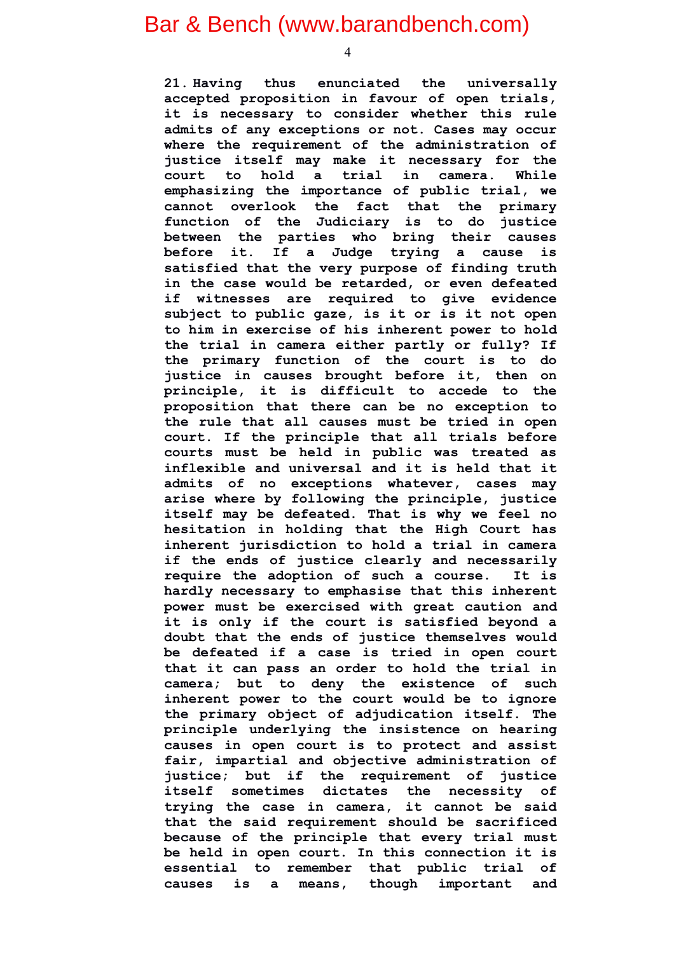**21. Having thus enunciated the universally accepted proposition in favour of open trials, it is necessary to consider whether this rule admits of any exceptions or not. Cases may occur where the requirement of the administration of justice itself may make it necessary for the court to hold a trial in camera. While emphasizing the importance of public trial, we cannot overlook the fact that the primary function of the Judiciary is to do justice between the parties who bring their causes before it. If a Judge trying a cause is satisfied that the very purpose of finding truth in the case would be retarded, or even defeated if witnesses are required to give evidence subject to public gaze, is it or is it not open to him in exercise of his inherent power to hold the trial in camera either partly or fully? If the primary function of the court is to do justice in causes brought before it, then on principle, it is difficult to accede to the proposition that there can be no exception to the rule that all causes must be tried in open court. If the principle that all trials before courts must be held in public was treated as inflexible and universal and it is held that it admits of no exceptions whatever, cases may arise where by following the principle, justice itself may be defeated. That is why we feel no hesitation in holding that the High Court has inherent jurisdiction to hold a trial in camera if the ends of justice clearly and necessarily require the adoption of such a course. It is hardly necessary to emphasise that this inherent power must be exercised with great caution and it is only if the court is satisfied beyond a doubt that the ends of justice themselves would be defeated if a case is tried in open court that it can pass an order to hold the trial in camera; but to deny the existence of such inherent power to the court would be to ignore the primary object of adjudication itself. The principle underlying the insistence on hearing causes in open court is to protect and assist fair, impartial and objective administration of justice; but if the requirement of justice itself sometimes dictates the necessity of trying the case in camera, it cannot be said that the said requirement should be sacrificed because of the principle that every trial must be held in open court. In this connection it is essential to remember that public trial of causes is a means, though important and**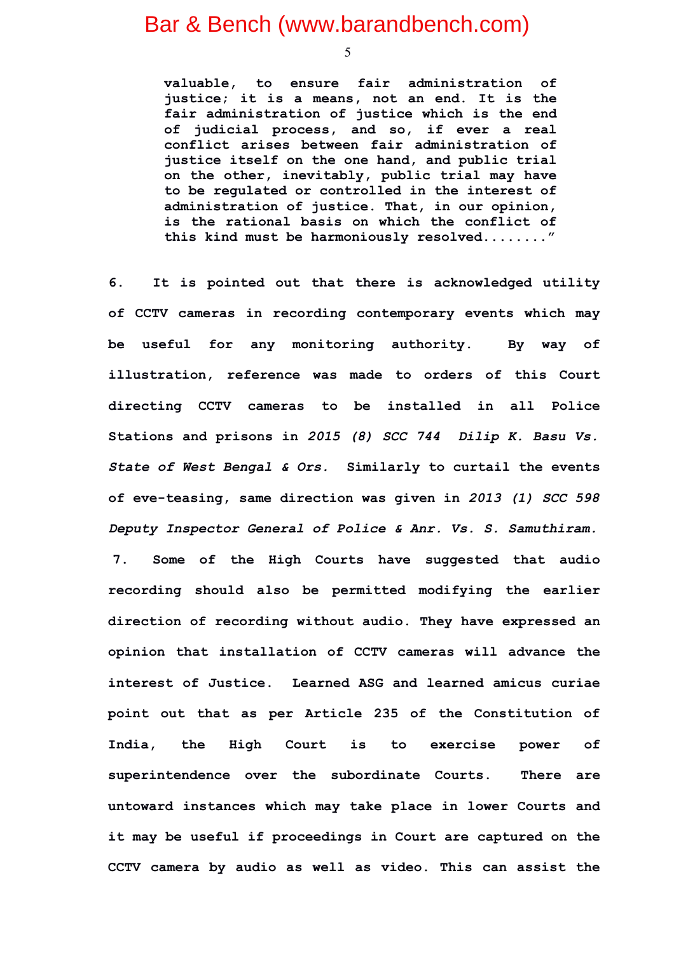5

**valuable, to ensure fair administration of justice; it is a means, not an end. It is the fair administration of justice which is the end of judicial process, and so, if ever a real conflict arises between fair administration of justice itself on the one hand, and public trial on the other, inevitably, public trial may have to be regulated or controlled in the interest of administration of justice. That, in our opinion, is the rational basis on which the conflict of this kind must be harmoniously resolved........"**

**6. It is pointed out that there is acknowledged utility of CCTV cameras in recording contemporary events which may be useful for any monitoring authority. By way of illustration, reference was made to orders of this Court directing CCTV cameras to be installed in all Police Stations and prisons in** *2015 (8) SCC 744 Dilip K. Basu Vs. State of West Bengal & Ors.* **Similarly to curtail the events of eve-teasing, same direction was given in** *2013 (1) SCC 598 Deputy Inspector General of Police & Anr. Vs. S. Samuthiram.* **7. Some of the High Courts have suggested that audio recording should also be permitted modifying the earlier direction of recording without audio. They have expressed an opinion that installation of CCTV cameras will advance the interest of Justice. Learned ASG and learned amicus curiae point out that as per Article 235 of the Constitution of India, the High Court is to exercise power of superintendence over the subordinate Courts. There are untoward instances which may take place in lower Courts and it may be useful if proceedings in Court are captured on the CCTV camera by audio as well as video. This can assist the**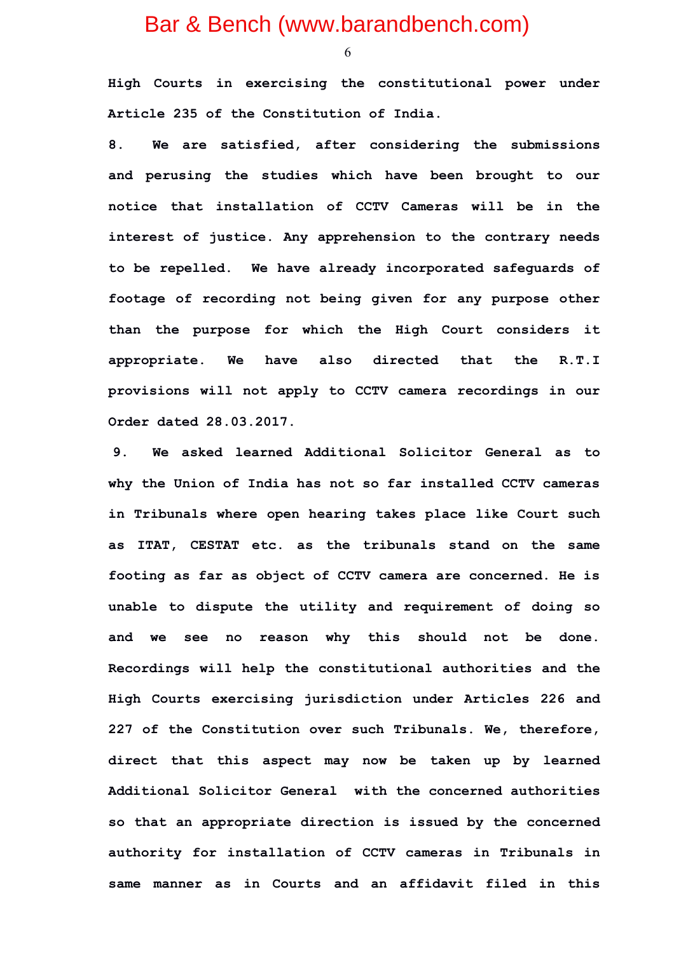6

**High Courts in exercising the constitutional power under Article 235 of the Constitution of India.**

**8. We are satisfied, after considering the submissions and perusing the studies which have been brought to our notice that installation of CCTV Cameras will be in the interest of justice. Any apprehension to the contrary needs to be repelled. We have already incorporated safeguards of footage of recording not being given for any purpose other than the purpose for which the High Court considers it appropriate. We have also directed that the R.T.I provisions will not apply to CCTV camera recordings in our Order dated 28.03.2017.** 

**9. We asked learned Additional Solicitor General as to why the Union of India has not so far installed CCTV cameras in Tribunals where open hearing takes place like Court such as ITAT, CESTAT etc. as the tribunals stand on the same footing as far as object of CCTV camera are concerned. He is unable to dispute the utility and requirement of doing so and we see no reason why this should not be done. Recordings will help the constitutional authorities and the High Courts exercising jurisdiction under Articles 226 and 227 of the Constitution over such Tribunals. We, therefore, direct that this aspect may now be taken up by learned Additional Solicitor General with the concerned authorities so that an appropriate direction is issued by the concerned authority for installation of CCTV cameras in Tribunals in same manner as in Courts and an affidavit filed in this**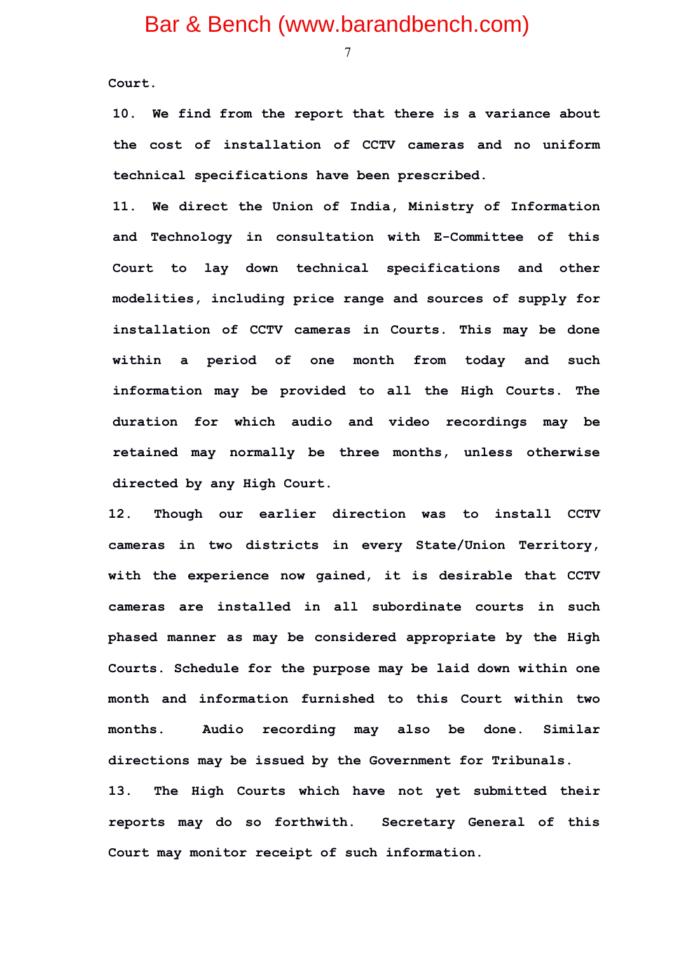7

**Court.** 

**10. We find from the report that there is a variance about the cost of installation of CCTV cameras and no uniform technical specifications have been prescribed.** 

**11. We direct the Union of India, Ministry of Information and Technology in consultation with E-Committee of this Court to lay down technical specifications and other modelities, including price range and sources of supply for installation of CCTV cameras in Courts. This may be done within a period of one month from today and such information may be provided to all the High Courts. The duration for which audio and video recordings may be retained may normally be three months, unless otherwise directed by any High Court.**

**12. Though our earlier direction was to install CCTV cameras in two districts in every State/Union Territory, with the experience now gained, it is desirable that CCTV cameras are installed in all subordinate courts in such phased manner as may be considered appropriate by the High Courts. Schedule for the purpose may be laid down within one month and information furnished to this Court within two months. Audio recording may also be done. Similar directions may be issued by the Government for Tribunals. 13. The High Courts which have not yet submitted their reports may do so forthwith. Secretary General of this**

**Court may monitor receipt of such information.**